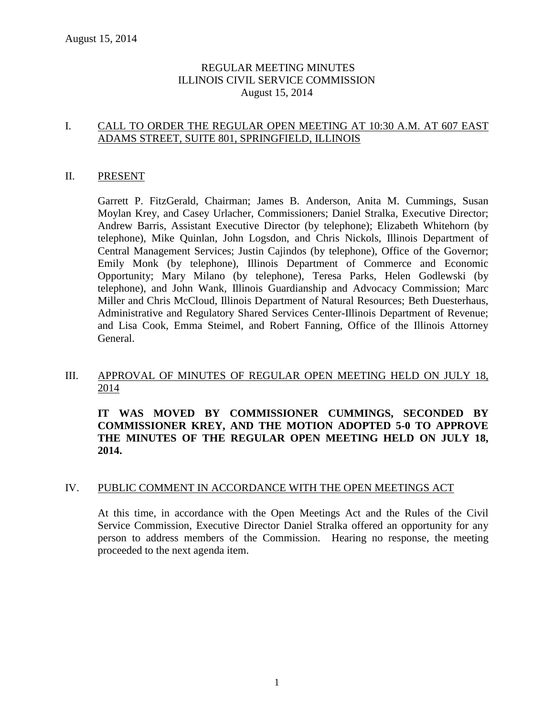# REGULAR MEETING MINUTES ILLINOIS CIVIL SERVICE COMMISSION August 15, 2014

# I. CALL TO ORDER THE REGULAR OPEN MEETING AT 10:30 A.M. AT 607 EAST ADAMS STREET, SUITE 801, SPRINGFIELD, ILLINOIS

#### II. PRESENT

Garrett P. FitzGerald, Chairman; James B. Anderson, Anita M. Cummings, Susan Moylan Krey, and Casey Urlacher, Commissioners; Daniel Stralka, Executive Director; Andrew Barris, Assistant Executive Director (by telephone); Elizabeth Whitehorn (by telephone), Mike Quinlan, John Logsdon, and Chris Nickols, Illinois Department of Central Management Services; Justin Cajindos (by telephone), Office of the Governor; Emily Monk (by telephone), Illinois Department of Commerce and Economic Opportunity; Mary Milano (by telephone), Teresa Parks, Helen Godlewski (by telephone), and John Wank, Illinois Guardianship and Advocacy Commission; Marc Miller and Chris McCloud, Illinois Department of Natural Resources; Beth Duesterhaus, Administrative and Regulatory Shared Services Center-Illinois Department of Revenue; and Lisa Cook, Emma Steimel, and Robert Fanning, Office of the Illinois Attorney General.

# III. APPROVAL OF MINUTES OF REGULAR OPEN MEETING HELD ON JULY 18, 2014

**IT WAS MOVED BY COMMISSIONER CUMMINGS, SECONDED BY COMMISSIONER KREY, AND THE MOTION ADOPTED 5-0 TO APPROVE THE MINUTES OF THE REGULAR OPEN MEETING HELD ON JULY 18, 2014.** 

## IV. PUBLIC COMMENT IN ACCORDANCE WITH THE OPEN MEETINGS ACT

At this time, in accordance with the Open Meetings Act and the Rules of the Civil Service Commission, Executive Director Daniel Stralka offered an opportunity for any person to address members of the Commission. Hearing no response, the meeting proceeded to the next agenda item.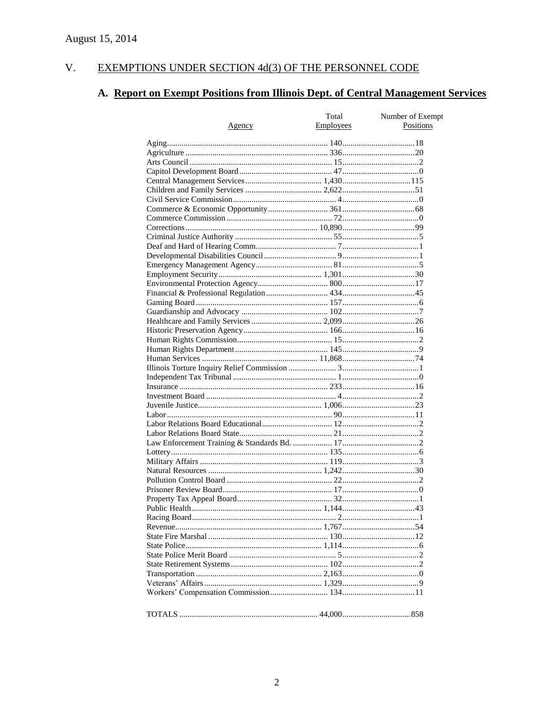#### V. EXEMPTIONS UNDER SECTION 4d(3) OF THE PERSONNEL CODE

# A. Report on Exempt Positions from Illinois Dept. of Central Management Services

| Positions<br>Employees<br>Agency | Total | Number of Exempt |
|----------------------------------|-------|------------------|
|                                  |       |                  |
|                                  |       |                  |
|                                  |       |                  |
|                                  |       |                  |
|                                  |       |                  |
|                                  |       |                  |
|                                  |       |                  |
|                                  |       |                  |
|                                  |       |                  |
|                                  |       |                  |
|                                  |       |                  |
|                                  |       |                  |
|                                  |       |                  |
|                                  |       |                  |
|                                  |       |                  |
|                                  |       |                  |
|                                  |       |                  |
|                                  |       |                  |
|                                  |       |                  |
|                                  |       |                  |
|                                  |       |                  |
|                                  |       |                  |
|                                  |       |                  |
|                                  |       |                  |
|                                  |       |                  |
|                                  |       |                  |
|                                  |       |                  |
|                                  |       |                  |
|                                  |       |                  |
|                                  |       |                  |
|                                  |       |                  |
|                                  |       |                  |
|                                  |       |                  |
|                                  |       |                  |
|                                  |       |                  |
|                                  |       |                  |
|                                  |       |                  |
|                                  |       |                  |
|                                  |       |                  |
|                                  |       |                  |
|                                  |       |                  |
|                                  |       |                  |
|                                  |       |                  |
|                                  |       |                  |
|                                  |       |                  |
|                                  |       |                  |
|                                  |       |                  |
|                                  |       |                  |
|                                  |       |                  |
|                                  |       |                  |
|                                  |       |                  |
|                                  |       |                  |
|                                  |       |                  |
|                                  |       |                  |
|                                  |       |                  |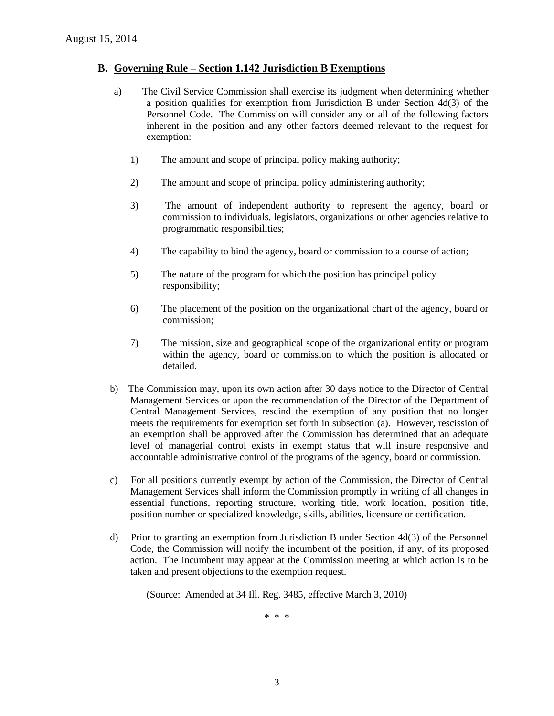#### **B. Governing Rule – Section 1.142 Jurisdiction B Exemptions**

- a) The Civil Service Commission shall exercise its judgment when determining whether a position qualifies for exemption from Jurisdiction B under Section 4d(3) of the Personnel Code. The Commission will consider any or all of the following factors inherent in the position and any other factors deemed relevant to the request for exemption:
	- 1) The amount and scope of principal policy making authority;
	- 2) The amount and scope of principal policy administering authority;
	- 3) The amount of independent authority to represent the agency, board or commission to individuals, legislators, organizations or other agencies relative to programmatic responsibilities;
	- 4) The capability to bind the agency, board or commission to a course of action;
	- 5) The nature of the program for which the position has principal policy responsibility;
	- 6) The placement of the position on the organizational chart of the agency, board or commission;
	- 7) The mission, size and geographical scope of the organizational entity or program within the agency, board or commission to which the position is allocated or detailed.
- b) The Commission may, upon its own action after 30 days notice to the Director of Central Management Services or upon the recommendation of the Director of the Department of Central Management Services, rescind the exemption of any position that no longer meets the requirements for exemption set forth in subsection (a). However, rescission of an exemption shall be approved after the Commission has determined that an adequate level of managerial control exists in exempt status that will insure responsive and accountable administrative control of the programs of the agency, board or commission.
- c) For all positions currently exempt by action of the Commission, the Director of Central Management Services shall inform the Commission promptly in writing of all changes in essential functions, reporting structure, working title, work location, position title, position number or specialized knowledge, skills, abilities, licensure or certification.
- d) Prior to granting an exemption from Jurisdiction B under Section 4d(3) of the Personnel Code, the Commission will notify the incumbent of the position, if any, of its proposed action. The incumbent may appear at the Commission meeting at which action is to be taken and present objections to the exemption request.

(Source: Amended at 34 Ill. Reg. 3485, effective March 3, 2010)

\* \* \*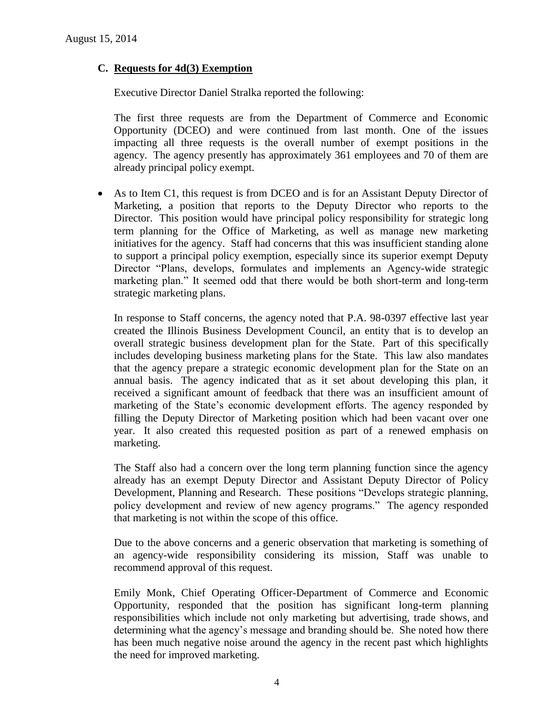# **C. Requests for 4d(3) Exemption**

Executive Director Daniel Stralka reported the following:

The first three requests are from the Department of Commerce and Economic Opportunity (DCEO) and were continued from last month. One of the issues impacting all three requests is the overall number of exempt positions in the agency. The agency presently has approximately 361 employees and 70 of them are already principal policy exempt.

 As to Item C1, this request is from DCEO and is for an Assistant Deputy Director of Marketing, a position that reports to the Deputy Director who reports to the Director. This position would have principal policy responsibility for strategic long term planning for the Office of Marketing, as well as manage new marketing initiatives for the agency. Staff had concerns that this was insufficient standing alone to support a principal policy exemption, especially since its superior exempt Deputy Director "Plans, develops, formulates and implements an Agency-wide strategic marketing plan." It seemed odd that there would be both short-term and long-term strategic marketing plans.

In response to Staff concerns, the agency noted that P.A. 98-0397 effective last year created the Illinois Business Development Council, an entity that is to develop an overall strategic business development plan for the State. Part of this specifically includes developing business marketing plans for the State. This law also mandates that the agency prepare a strategic economic development plan for the State on an annual basis. The agency indicated that as it set about developing this plan, it received a significant amount of feedback that there was an insufficient amount of marketing of the State's economic development efforts. The agency responded by filling the Deputy Director of Marketing position which had been vacant over one year. It also created this requested position as part of a renewed emphasis on marketing.

The Staff also had a concern over the long term planning function since the agency already has an exempt Deputy Director and Assistant Deputy Director of Policy Development, Planning and Research. These positions "Develops strategic planning, policy development and review of new agency programs." The agency responded that marketing is not within the scope of this office.

Due to the above concerns and a generic observation that marketing is something of an agency-wide responsibility considering its mission, Staff was unable to recommend approval of this request.

Emily Monk, Chief Operating Officer-Department of Commerce and Economic Opportunity, responded that the position has significant long-term planning responsibilities which include not only marketing but advertising, trade shows, and determining what the agency's message and branding should be. She noted how there has been much negative noise around the agency in the recent past which highlights the need for improved marketing.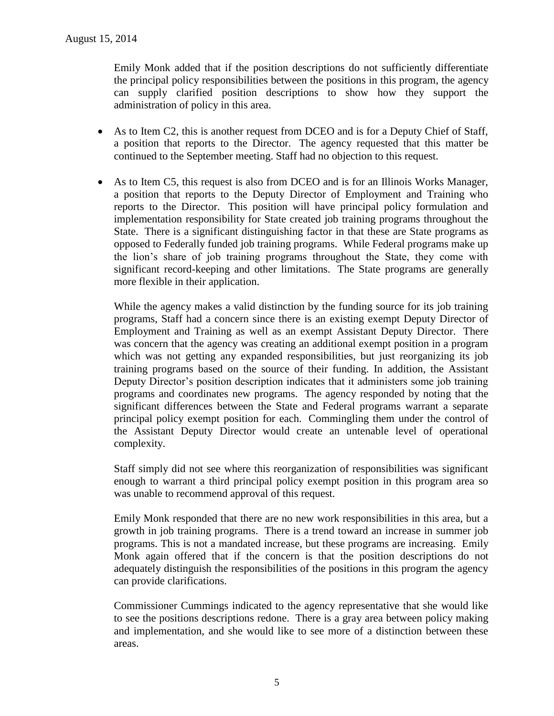Emily Monk added that if the position descriptions do not sufficiently differentiate the principal policy responsibilities between the positions in this program, the agency can supply clarified position descriptions to show how they support the administration of policy in this area.

- As to Item C2, this is another request from DCEO and is for a Deputy Chief of Staff, a position that reports to the Director. The agency requested that this matter be continued to the September meeting. Staff had no objection to this request.
- As to Item C5, this request is also from DCEO and is for an Illinois Works Manager, a position that reports to the Deputy Director of Employment and Training who reports to the Director. This position will have principal policy formulation and implementation responsibility for State created job training programs throughout the State. There is a significant distinguishing factor in that these are State programs as opposed to Federally funded job training programs. While Federal programs make up the lion's share of job training programs throughout the State, they come with significant record-keeping and other limitations. The State programs are generally more flexible in their application.

While the agency makes a valid distinction by the funding source for its job training programs, Staff had a concern since there is an existing exempt Deputy Director of Employment and Training as well as an exempt Assistant Deputy Director. There was concern that the agency was creating an additional exempt position in a program which was not getting any expanded responsibilities, but just reorganizing its job training programs based on the source of their funding. In addition, the Assistant Deputy Director's position description indicates that it administers some job training programs and coordinates new programs. The agency responded by noting that the significant differences between the State and Federal programs warrant a separate principal policy exempt position for each. Commingling them under the control of the Assistant Deputy Director would create an untenable level of operational complexity.

Staff simply did not see where this reorganization of responsibilities was significant enough to warrant a third principal policy exempt position in this program area so was unable to recommend approval of this request.

Emily Monk responded that there are no new work responsibilities in this area, but a growth in job training programs. There is a trend toward an increase in summer job programs. This is not a mandated increase, but these programs are increasing. Emily Monk again offered that if the concern is that the position descriptions do not adequately distinguish the responsibilities of the positions in this program the agency can provide clarifications.

Commissioner Cummings indicated to the agency representative that she would like to see the positions descriptions redone. There is a gray area between policy making and implementation, and she would like to see more of a distinction between these areas.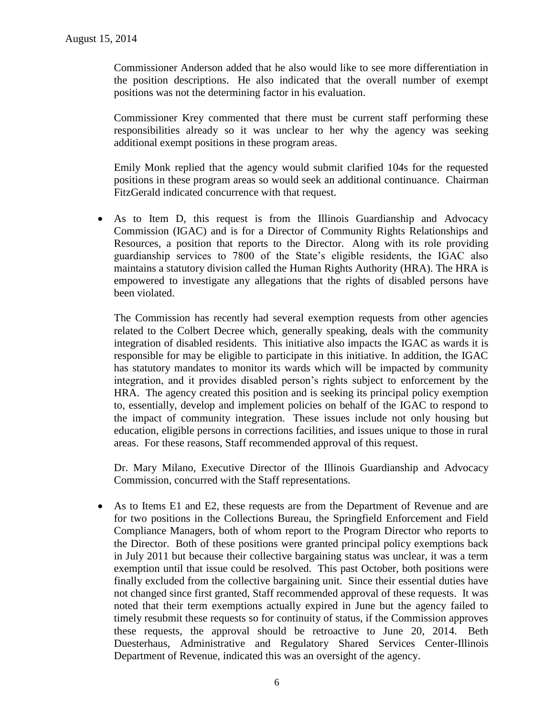Commissioner Anderson added that he also would like to see more differentiation in the position descriptions. He also indicated that the overall number of exempt positions was not the determining factor in his evaluation.

Commissioner Krey commented that there must be current staff performing these responsibilities already so it was unclear to her why the agency was seeking additional exempt positions in these program areas.

Emily Monk replied that the agency would submit clarified 104s for the requested positions in these program areas so would seek an additional continuance. Chairman FitzGerald indicated concurrence with that request.

 As to Item D, this request is from the Illinois Guardianship and Advocacy Commission (IGAC) and is for a Director of Community Rights Relationships and Resources, a position that reports to the Director. Along with its role providing guardianship services to 7800 of the State's eligible residents, the IGAC also maintains a statutory division called the Human Rights Authority (HRA). The HRA is empowered to investigate any allegations that the rights of disabled persons have been violated.

The Commission has recently had several exemption requests from other agencies related to the Colbert Decree which, generally speaking, deals with the community integration of disabled residents. This initiative also impacts the IGAC as wards it is responsible for may be eligible to participate in this initiative. In addition, the IGAC has statutory mandates to monitor its wards which will be impacted by community integration, and it provides disabled person's rights subject to enforcement by the HRA. The agency created this position and is seeking its principal policy exemption to, essentially, develop and implement policies on behalf of the IGAC to respond to the impact of community integration. These issues include not only housing but education, eligible persons in corrections facilities, and issues unique to those in rural areas. For these reasons, Staff recommended approval of this request.

Dr. Mary Milano, Executive Director of the Illinois Guardianship and Advocacy Commission, concurred with the Staff representations.

 As to Items E1 and E2, these requests are from the Department of Revenue and are for two positions in the Collections Bureau, the Springfield Enforcement and Field Compliance Managers, both of whom report to the Program Director who reports to the Director. Both of these positions were granted principal policy exemptions back in July 2011 but because their collective bargaining status was unclear, it was a term exemption until that issue could be resolved. This past October, both positions were finally excluded from the collective bargaining unit. Since their essential duties have not changed since first granted, Staff recommended approval of these requests. It was noted that their term exemptions actually expired in June but the agency failed to timely resubmit these requests so for continuity of status, if the Commission approves these requests, the approval should be retroactive to June 20, 2014. Beth Duesterhaus, Administrative and Regulatory Shared Services Center-Illinois Department of Revenue, indicated this was an oversight of the agency.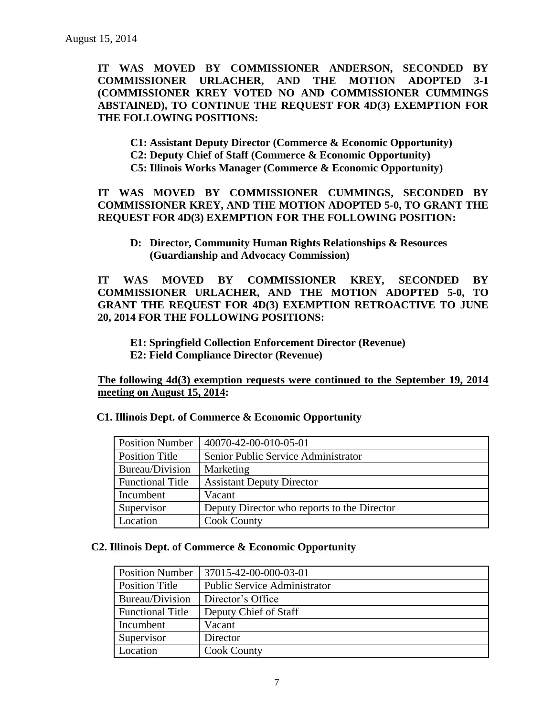**IT WAS MOVED BY COMMISSIONER ANDERSON, SECONDED BY COMMISSIONER URLACHER, AND THE MOTION ADOPTED 3-1 (COMMISSIONER KREY VOTED NO AND COMMISSIONER CUMMINGS ABSTAINED), TO CONTINUE THE REQUEST FOR 4D(3) EXEMPTION FOR THE FOLLOWING POSITIONS:**

**C1: Assistant Deputy Director (Commerce & Economic Opportunity) C2: Deputy Chief of Staff (Commerce & Economic Opportunity)**

**C5: Illinois Works Manager (Commerce & Economic Opportunity)**

**IT WAS MOVED BY COMMISSIONER CUMMINGS, SECONDED BY COMMISSIONER KREY, AND THE MOTION ADOPTED 5-0, TO GRANT THE REQUEST FOR 4D(3) EXEMPTION FOR THE FOLLOWING POSITION:**

**D: Director, Community Human Rights Relationships & Resources (Guardianship and Advocacy Commission)**

**IT WAS MOVED BY COMMISSIONER KREY, SECONDED BY COMMISSIONER URLACHER, AND THE MOTION ADOPTED 5-0, TO GRANT THE REQUEST FOR 4D(3) EXEMPTION RETROACTIVE TO JUNE 20, 2014 FOR THE FOLLOWING POSITIONS:**

**E1: Springfield Collection Enforcement Director (Revenue) E2: Field Compliance Director (Revenue)**

**The following 4d(3) exemption requests were continued to the September 19, 2014 meeting on August 15, 2014:**

| <b>Position Number</b>  | 40070-42-00-010-05-01                       |
|-------------------------|---------------------------------------------|
| <b>Position Title</b>   | Senior Public Service Administrator         |
| Bureau/Division         | Marketing                                   |
| <b>Functional Title</b> | <b>Assistant Deputy Director</b>            |
| Incumbent               | Vacant                                      |
| Supervisor              | Deputy Director who reports to the Director |
| Location                | <b>Cook County</b>                          |

 **C1. Illinois Dept. of Commerce & Economic Opportunity**

## **C2. Illinois Dept. of Commerce & Economic Opportunity**

| <b>Position Number</b>  | 37015-42-00-000-03-01               |
|-------------------------|-------------------------------------|
| <b>Position Title</b>   | <b>Public Service Administrator</b> |
| Bureau/Division         | Director's Office                   |
| <b>Functional Title</b> | Deputy Chief of Staff               |
| Incumbent               | Vacant                              |
| Supervisor              | Director                            |
| Location                | <b>Cook County</b>                  |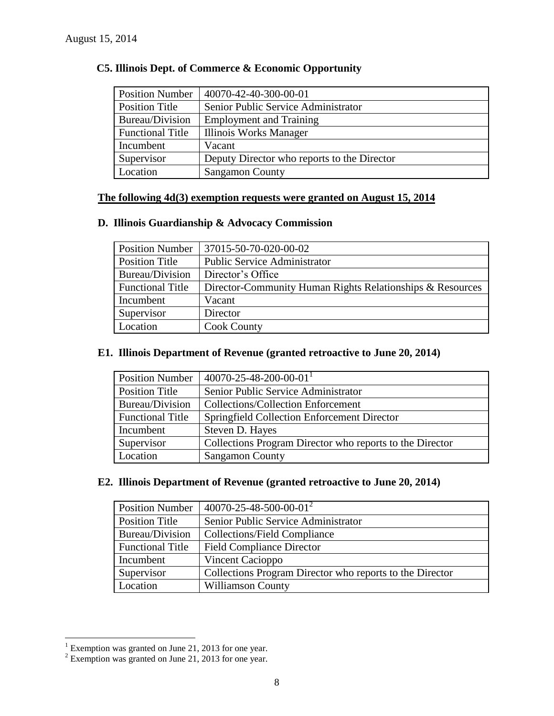| <b>Position Number</b>  | 40070-42-40-300-00-01                       |
|-------------------------|---------------------------------------------|
| <b>Position Title</b>   | Senior Public Service Administrator         |
| Bureau/Division         | <b>Employment and Training</b>              |
| <b>Functional Title</b> | Illinois Works Manager                      |
| Incumbent               | Vacant                                      |
| Supervisor              | Deputy Director who reports to the Director |
| Location                | <b>Sangamon County</b>                      |

# **C5. Illinois Dept. of Commerce & Economic Opportunity**

# **The following 4d(3) exemption requests were granted on August 15, 2014**

# **D. Illinois Guardianship & Advocacy Commission**

| <b>Position Number</b>  | 37015-50-70-020-00-02                                     |
|-------------------------|-----------------------------------------------------------|
| <b>Position Title</b>   | <b>Public Service Administrator</b>                       |
| Bureau/Division         | Director's Office                                         |
| <b>Functional Title</b> | Director-Community Human Rights Relationships & Resources |
| Incumbent               | Vacant                                                    |
| Supervisor              | Director                                                  |
| Location                | <b>Cook County</b>                                        |

# **E1. Illinois Department of Revenue (granted retroactive to June 20, 2014)**

| <b>Position Number</b>  | $40070 - 25 - 48 - 200 - 00 - 01$ <sup>1</sup>           |
|-------------------------|----------------------------------------------------------|
| <b>Position Title</b>   | Senior Public Service Administrator                      |
| Bureau/Division         | <b>Collections/Collection Enforcement</b>                |
| <b>Functional Title</b> | Springfield Collection Enforcement Director              |
| Incumbent               | Steven D. Hayes                                          |
| Supervisor              | Collections Program Director who reports to the Director |
| Location                | <b>Sangamon County</b>                                   |

# **E2. Illinois Department of Revenue (granted retroactive to June 20, 2014)**

| <b>Position Number</b>  | $40070 - 25 - 48 - 500 - 00 - 01^2$                      |
|-------------------------|----------------------------------------------------------|
| <b>Position Title</b>   | Senior Public Service Administrator                      |
| Bureau/Division         | <b>Collections/Field Compliance</b>                      |
| <b>Functional Title</b> | <b>Field Compliance Director</b>                         |
| Incumbent               | Vincent Cacioppo                                         |
| Supervisor              | Collections Program Director who reports to the Director |
| Location                | <b>Williamson County</b>                                 |

 $\overline{a}$ 

 $1$  Exemption was granted on June 21, 2013 for one year.

 $2^2$  Exemption was granted on June 21, 2013 for one year.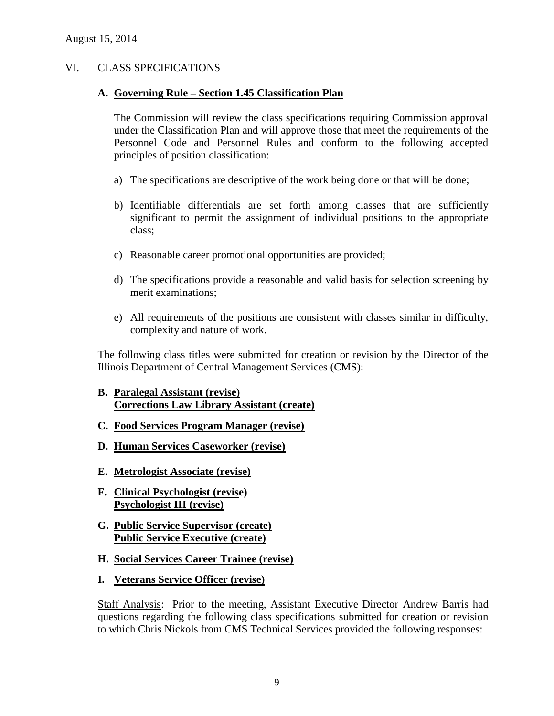## VI. CLASS SPECIFICATIONS

#### **A. Governing Rule – Section 1.45 Classification Plan**

The Commission will review the class specifications requiring Commission approval under the Classification Plan and will approve those that meet the requirements of the Personnel Code and Personnel Rules and conform to the following accepted principles of position classification:

- a) The specifications are descriptive of the work being done or that will be done;
- b) Identifiable differentials are set forth among classes that are sufficiently significant to permit the assignment of individual positions to the appropriate class;
- c) Reasonable career promotional opportunities are provided;
- d) The specifications provide a reasonable and valid basis for selection screening by merit examinations;
- e) All requirements of the positions are consistent with classes similar in difficulty, complexity and nature of work.

The following class titles were submitted for creation or revision by the Director of the Illinois Department of Central Management Services (CMS):

- **B. Paralegal Assistant (revise) Corrections Law Library Assistant (create)**
- **C. Food Services Program Manager (revise)**
- **D. Human Services Caseworker (revise)**
- **E. Metrologist Associate (revise)**
- **F. Clinical Psychologist (revise) Psychologist III (revise)**
- **G. Public Service Supervisor (create) Public Service Executive (create)**
- **H. Social Services Career Trainee (revise)**
- **I. Veterans Service Officer (revise)**

Staff Analysis: Prior to the meeting, Assistant Executive Director Andrew Barris had questions regarding the following class specifications submitted for creation or revision to which Chris Nickols from CMS Technical Services provided the following responses: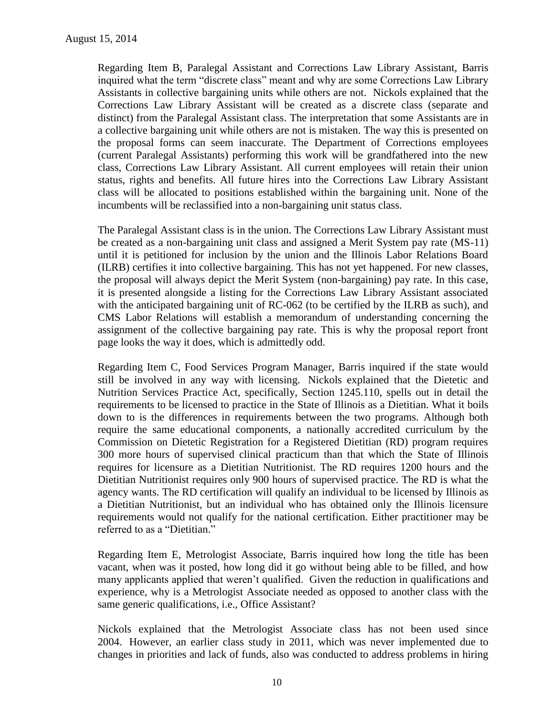Regarding Item B, Paralegal Assistant and Corrections Law Library Assistant, Barris inquired what the term "discrete class" meant and why are some Corrections Law Library Assistants in collective bargaining units while others are not. Nickols explained that the Corrections Law Library Assistant will be created as a discrete class (separate and distinct) from the Paralegal Assistant class. The interpretation that some Assistants are in a collective bargaining unit while others are not is mistaken. The way this is presented on the proposal forms can seem inaccurate. The Department of Corrections employees (current Paralegal Assistants) performing this work will be grandfathered into the new class, Corrections Law Library Assistant. All current employees will retain their union status, rights and benefits. All future hires into the Corrections Law Library Assistant class will be allocated to positions established within the bargaining unit. None of the incumbents will be reclassified into a non-bargaining unit status class.

The Paralegal Assistant class is in the union. The Corrections Law Library Assistant must be created as a non-bargaining unit class and assigned a Merit System pay rate (MS-11) until it is petitioned for inclusion by the union and the Illinois Labor Relations Board (ILRB) certifies it into collective bargaining. This has not yet happened. For new classes, the proposal will always depict the Merit System (non-bargaining) pay rate. In this case, it is presented alongside a listing for the Corrections Law Library Assistant associated with the anticipated bargaining unit of RC-062 (to be certified by the ILRB as such), and CMS Labor Relations will establish a memorandum of understanding concerning the assignment of the collective bargaining pay rate. This is why the proposal report front page looks the way it does, which is admittedly odd.

Regarding Item C, Food Services Program Manager, Barris inquired if the state would still be involved in any way with licensing. Nickols explained that the Dietetic and Nutrition Services Practice Act, specifically, Section 1245.110, spells out in detail the requirements to be licensed to practice in the State of Illinois as a Dietitian. What it boils down to is the differences in requirements between the two programs. Although both require the same educational components, a nationally accredited curriculum by the Commission on Dietetic Registration for a Registered Dietitian (RD) program requires 300 more hours of supervised clinical practicum than that which the State of Illinois requires for licensure as a Dietitian Nutritionist. The RD requires 1200 hours and the Dietitian Nutritionist requires only 900 hours of supervised practice. The RD is what the agency wants. The RD certification will qualify an individual to be licensed by Illinois as a Dietitian Nutritionist, but an individual who has obtained only the Illinois licensure requirements would not qualify for the national certification. Either practitioner may be referred to as a "Dietitian."

Regarding Item E, Metrologist Associate, Barris inquired how long the title has been vacant, when was it posted, how long did it go without being able to be filled, and how many applicants applied that weren't qualified. Given the reduction in qualifications and experience, why is a Metrologist Associate needed as opposed to another class with the same generic qualifications, i.e., Office Assistant?

Nickols explained that the Metrologist Associate class has not been used since 2004. However, an earlier class study in 2011, which was never implemented due to changes in priorities and lack of funds, also was conducted to address problems in hiring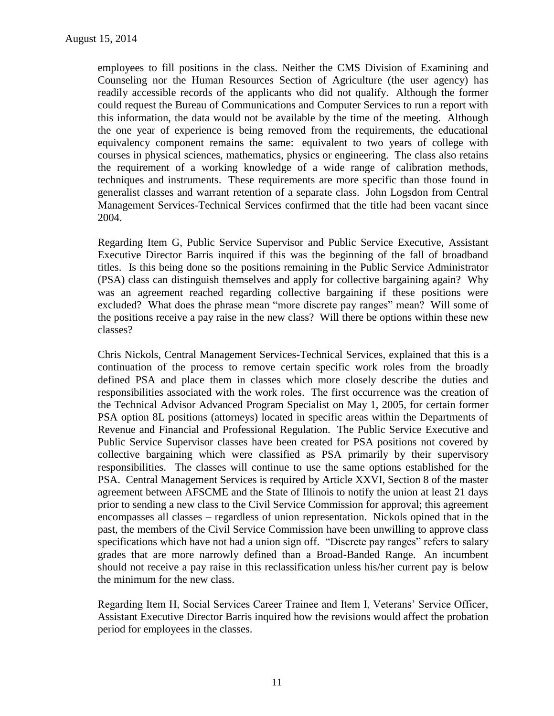employees to fill positions in the class. Neither the CMS Division of Examining and Counseling nor the Human Resources Section of Agriculture (the user agency) has readily accessible records of the applicants who did not qualify. Although the former could request the Bureau of Communications and Computer Services to run a report with this information, the data would not be available by the time of the meeting. Although the one year of experience is being removed from the requirements, the educational equivalency component remains the same: equivalent to two years of college with courses in physical sciences, mathematics, physics or engineering. The class also retains the requirement of a working knowledge of a wide range of calibration methods, techniques and instruments. These requirements are more specific than those found in generalist classes and warrant retention of a separate class. John Logsdon from Central Management Services-Technical Services confirmed that the title had been vacant since 2004.

Regarding Item G, Public Service Supervisor and Public Service Executive, Assistant Executive Director Barris inquired if this was the beginning of the fall of broadband titles. Is this being done so the positions remaining in the Public Service Administrator (PSA) class can distinguish themselves and apply for collective bargaining again? Why was an agreement reached regarding collective bargaining if these positions were excluded? What does the phrase mean "more discrete pay ranges" mean? Will some of the positions receive a pay raise in the new class? Will there be options within these new classes?

Chris Nickols, Central Management Services-Technical Services, explained that this is a continuation of the process to remove certain specific work roles from the broadly defined PSA and place them in classes which more closely describe the duties and responsibilities associated with the work roles. The first occurrence was the creation of the Technical Advisor Advanced Program Specialist on May 1, 2005, for certain former PSA option 8L positions (attorneys) located in specific areas within the Departments of Revenue and Financial and Professional Regulation. The Public Service Executive and Public Service Supervisor classes have been created for PSA positions not covered by collective bargaining which were classified as PSA primarily by their supervisory responsibilities. The classes will continue to use the same options established for the PSA. Central Management Services is required by Article XXVI, Section 8 of the master agreement between AFSCME and the State of Illinois to notify the union at least 21 days prior to sending a new class to the Civil Service Commission for approval; this agreement encompasses all classes – regardless of union representation. Nickols opined that in the past, the members of the Civil Service Commission have been unwilling to approve class specifications which have not had a union sign off. "Discrete pay ranges" refers to salary grades that are more narrowly defined than a Broad-Banded Range. An incumbent should not receive a pay raise in this reclassification unless his/her current pay is below the minimum for the new class.

Regarding Item H, Social Services Career Trainee and Item I, Veterans' Service Officer, Assistant Executive Director Barris inquired how the revisions would affect the probation period for employees in the classes.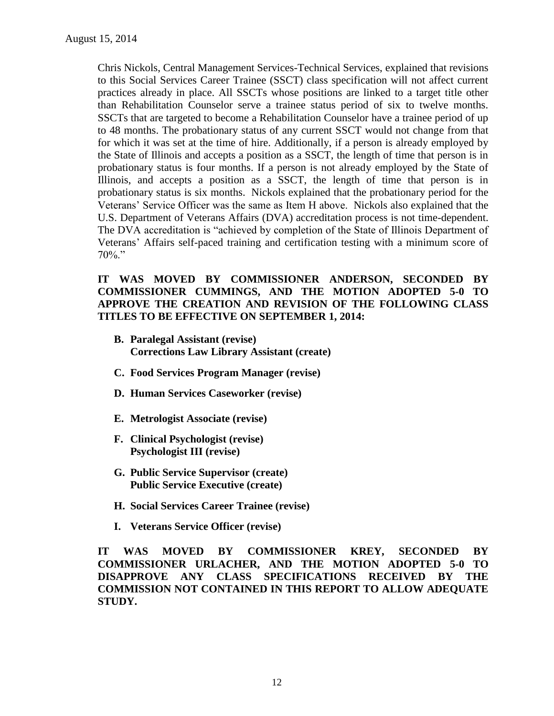Chris Nickols, Central Management Services-Technical Services, explained that revisions to this Social Services Career Trainee (SSCT) class specification will not affect current practices already in place. All SSCTs whose positions are linked to a target title other than Rehabilitation Counselor serve a trainee status period of six to twelve months. SSCTs that are targeted to become a Rehabilitation Counselor have a trainee period of up to 48 months. The probationary status of any current SSCT would not change from that for which it was set at the time of hire. Additionally, if a person is already employed by the State of Illinois and accepts a position as a SSCT, the length of time that person is in probationary status is four months. If a person is not already employed by the State of Illinois, and accepts a position as a SSCT, the length of time that person is in probationary status is six months. Nickols explained that the probationary period for the Veterans' Service Officer was the same as Item H above. Nickols also explained that the U.S. Department of Veterans Affairs (DVA) accreditation process is not time-dependent. The DVA accreditation is "achieved by completion of the State of Illinois Department of Veterans' Affairs self-paced training and certification testing with a minimum score of  $70\%$ ."

# **IT WAS MOVED BY COMMISSIONER ANDERSON, SECONDED BY COMMISSIONER CUMMINGS, AND THE MOTION ADOPTED 5-0 TO APPROVE THE CREATION AND REVISION OF THE FOLLOWING CLASS TITLES TO BE EFFECTIVE ON SEPTEMBER 1, 2014:**

- **B. Paralegal Assistant (revise) Corrections Law Library Assistant (create)**
- **C. Food Services Program Manager (revise)**
- **D. Human Services Caseworker (revise)**
- **E. Metrologist Associate (revise)**
- **F. Clinical Psychologist (revise) Psychologist III (revise)**
- **G. Public Service Supervisor (create) Public Service Executive (create)**
- **H. Social Services Career Trainee (revise)**
- **I. Veterans Service Officer (revise)**

**IT WAS MOVED BY COMMISSIONER KREY, SECONDED BY COMMISSIONER URLACHER, AND THE MOTION ADOPTED 5-0 TO DISAPPROVE ANY CLASS SPECIFICATIONS RECEIVED BY THE COMMISSION NOT CONTAINED IN THIS REPORT TO ALLOW ADEQUATE STUDY.**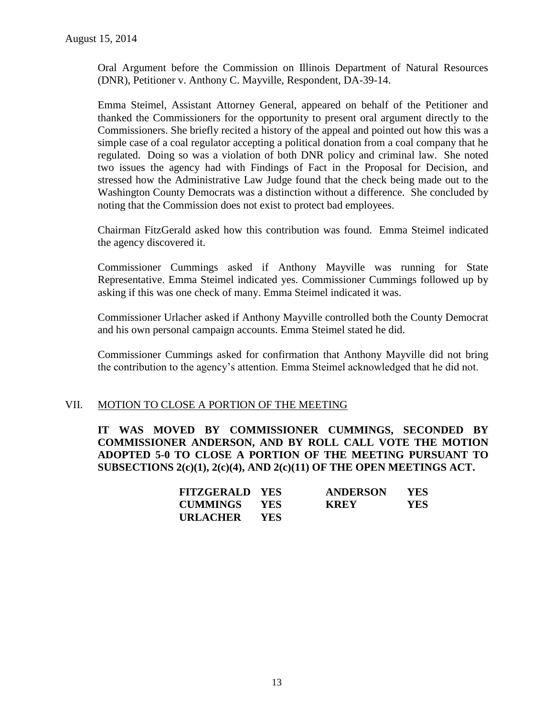Oral Argument before the Commission on Illinois Department of Natural Resources (DNR), Petitioner v. Anthony C. Mayville, Respondent, DA-39-14.

Emma Steimel, Assistant Attorney General, appeared on behalf of the Petitioner and thanked the Commissioners for the opportunity to present oral argument directly to the Commissioners. She briefly recited a history of the appeal and pointed out how this was a simple case of a coal regulator accepting a political donation from a coal company that he regulated. Doing so was a violation of both DNR policy and criminal law. She noted two issues the agency had with Findings of Fact in the Proposal for Decision, and stressed how the Administrative Law Judge found that the check being made out to the Washington County Democrats was a distinction without a difference. She concluded by noting that the Commission does not exist to protect bad employees.

Chairman FitzGerald asked how this contribution was found. Emma Steimel indicated the agency discovered it.

Commissioner Cummings asked if Anthony Mayville was running for State Representative. Emma Steimel indicated yes. Commissioner Cummings followed up by asking if this was one check of many. Emma Steimel indicated it was.

Commissioner Urlacher asked if Anthony Mayville controlled both the County Democrat and his own personal campaign accounts. Emma Steimel stated he did.

Commissioner Cummings asked for confirmation that Anthony Mayville did not bring the contribution to the agency's attention. Emma Steimel acknowledged that he did not.

# VII. MOTION TO CLOSE A PORTION OF THE MEETING

**IT WAS MOVED BY COMMISSIONER CUMMINGS, SECONDED BY COMMISSIONER ANDERSON, AND BY ROLL CALL VOTE THE MOTION ADOPTED 5-0 TO CLOSE A PORTION OF THE MEETING PURSUANT TO SUBSECTIONS 2(c)(1), 2(c)(4), AND 2(c)(11) OF THE OPEN MEETINGS ACT.**

| <b>FITZGERALD YES</b> |      | <b>ANDERSON</b> | <b>YES</b> |
|-----------------------|------|-----------------|------------|
| <b>CUMMINGS</b>       | YES  | <b>KREY</b>     | YES.       |
| URLACHER              | YES. |                 |            |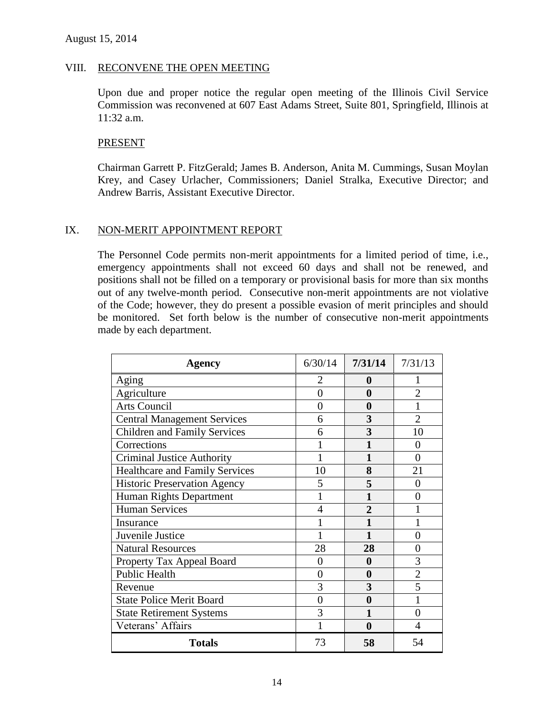## VIII. RECONVENE THE OPEN MEETING

Upon due and proper notice the regular open meeting of the Illinois Civil Service Commission was reconvened at 607 East Adams Street, Suite 801, Springfield, Illinois at 11:32 a.m.

## PRESENT

Chairman Garrett P. FitzGerald; James B. Anderson, Anita M. Cummings, Susan Moylan Krey, and Casey Urlacher, Commissioners; Daniel Stralka, Executive Director; and Andrew Barris, Assistant Executive Director.

## IX. NON-MERIT APPOINTMENT REPORT

The Personnel Code permits non-merit appointments for a limited period of time, i.e., emergency appointments shall not exceed 60 days and shall not be renewed, and positions shall not be filled on a temporary or provisional basis for more than six months out of any twelve-month period. Consecutive non-merit appointments are not violative of the Code; however, they do present a possible evasion of merit principles and should be monitored. Set forth below is the number of consecutive non-merit appointments made by each department.

| <b>Agency</b>                         | 6/30/14        | 7/31/14          | 7/31/13        |
|---------------------------------------|----------------|------------------|----------------|
| Aging                                 | 2              | 0                |                |
| Agriculture                           | 0              | 0                | 2              |
| <b>Arts Council</b>                   | 0              | 0                |                |
| <b>Central Management Services</b>    | 6              | 3                | $\overline{2}$ |
| <b>Children and Family Services</b>   | 6              | 3                | 10             |
| Corrections                           |                |                  | 0              |
| <b>Criminal Justice Authority</b>     |                | 1                | $\theta$       |
| <b>Healthcare and Family Services</b> | 10             | 8                | 21             |
| <b>Historic Preservation Agency</b>   | 5              | 5                | 0              |
| Human Rights Department               |                |                  | 0              |
| <b>Human Services</b>                 | $\overline{4}$ | $\overline{2}$   |                |
| Insurance                             |                |                  |                |
| Juvenile Justice                      |                | 1                | 0              |
| <b>Natural Resources</b>              | 28             | 28               | 0              |
| Property Tax Appeal Board             | $\theta$       | $\boldsymbol{0}$ | 3              |
| <b>Public Health</b>                  | 0              | $\bf{0}$         | $\overline{2}$ |
| Revenue                               | 3              | 3                | 5              |
| <b>State Police Merit Board</b>       | $\overline{0}$ | 0                |                |
| <b>State Retirement Systems</b>       | 3              |                  | 0              |
| Veterans' Affairs                     |                | $\boldsymbol{0}$ | 4              |
| <b>Totals</b>                         | 73             | 58               | 54             |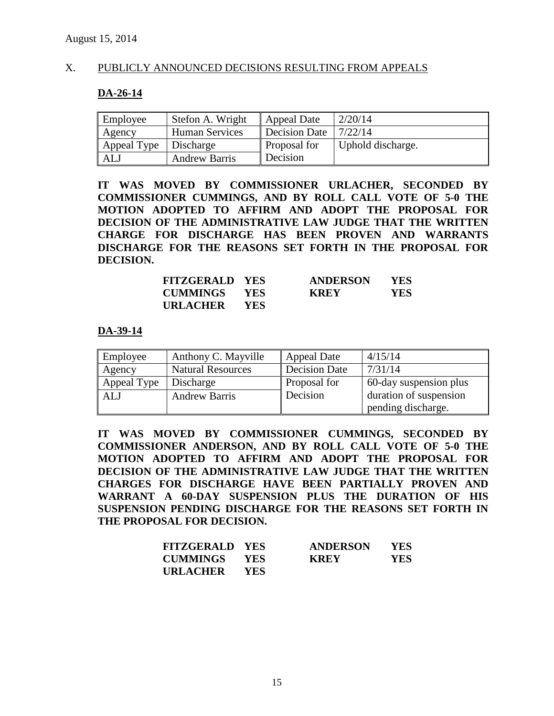# X. PUBLICLY ANNOUNCED DECISIONS RESULTING FROM APPEALS

#### **DA-26-14**

| Employee    | Stefon A. Wright      | <b>Appeal Date</b>   | 2/20/14           |
|-------------|-----------------------|----------------------|-------------------|
| Agency      | <b>Human Services</b> | <b>Decision Date</b> | 7/22/14           |
| Appeal Type | Discharge             | Proposal for         | Uphold discharge. |
| ALJ         | <b>Andrew Barris</b>  | Decision             |                   |

**IT WAS MOVED BY COMMISSIONER URLACHER, SECONDED BY COMMISSIONER CUMMINGS, AND BY ROLL CALL VOTE OF 5-0 THE MOTION ADOPTED TO AFFIRM AND ADOPT THE PROPOSAL FOR DECISION OF THE ADMINISTRATIVE LAW JUDGE THAT THE WRITTEN CHARGE FOR DISCHARGE HAS BEEN PROVEN AND WARRANTS DISCHARGE FOR THE REASONS SET FORTH IN THE PROPOSAL FOR DECISION.**

| <b>FITZGERALD YES</b> |            | <b>ANDERSON</b> | <b>YES</b> |
|-----------------------|------------|-----------------|------------|
| <b>CUMMINGS YES</b>   |            | <b>KREY</b>     | YES.       |
| <b>URLACHER</b>       | <b>YES</b> |                 |            |

#### **DA-39-14**

| Employee    | Anthony C. Mayville      | Appeal Date         | 4/15/14                |
|-------------|--------------------------|---------------------|------------------------|
| Agency      | <b>Natural Resources</b> | Decision Date       | 7/31/14                |
| Appeal Type | Discharge                | <b>Proposal for</b> | 60-day suspension plus |
| <b>ALJ</b>  | <b>Andrew Barris</b>     | Decision            | duration of suspension |
|             |                          |                     | pending discharge.     |

**IT WAS MOVED BY COMMISSIONER CUMMINGS, SECONDED BY COMMISSIONER ANDERSON, AND BY ROLL CALL VOTE OF 5-0 THE MOTION ADOPTED TO AFFIRM AND ADOPT THE PROPOSAL FOR DECISION OF THE ADMINISTRATIVE LAW JUDGE THAT THE WRITTEN CHARGES FOR DISCHARGE HAVE BEEN PARTIALLY PROVEN AND WARRANT A 60-DAY SUSPENSION PLUS THE DURATION OF HIS SUSPENSION PENDING DISCHARGE FOR THE REASONS SET FORTH IN THE PROPOSAL FOR DECISION.**

| <b>FITZGERALD YES</b> |            | <b>ANDERSON</b> | <b>YES</b> |
|-----------------------|------------|-----------------|------------|
| <b>CUMMINGS YES</b>   |            | <b>KREY</b>     | <b>YES</b> |
| URLACHER              | <b>YES</b> |                 |            |